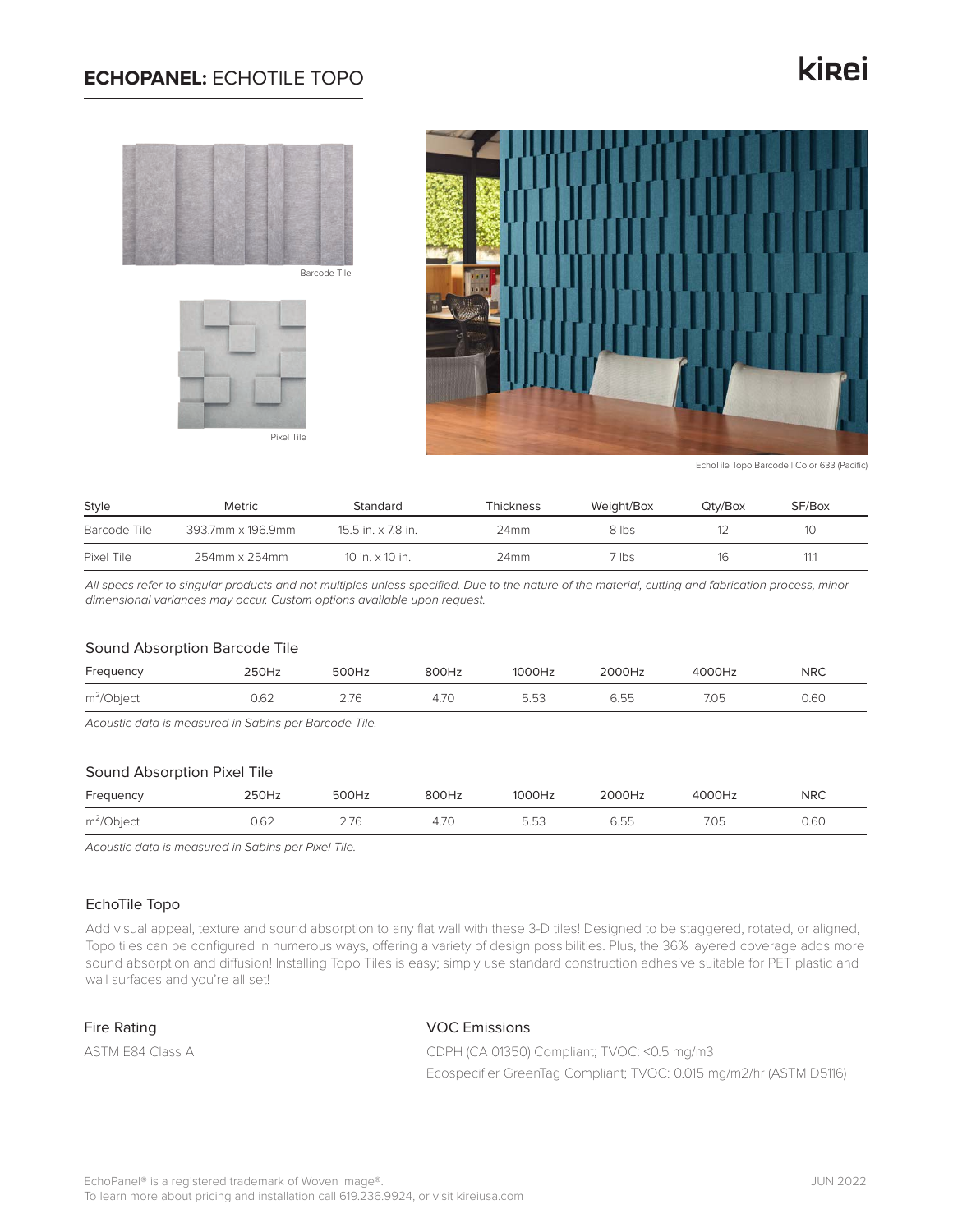## **ECHOPANEL:** ECHOTILE TOPO

# kinei



Barcode Tile





EchoTile Topo Barcode | Color 633 (Pacific)

| Style        | <b>Metric</b>     | Standard                    | Thickness | Weight/Box | Qtv/Box | SF/Box |
|--------------|-------------------|-----------------------------|-----------|------------|---------|--------|
| Barcode Tile | 393.7mm x 196.9mm | $15.5$ in. $\times$ 7.8 in. | 24mm      | 8 lbs      |         | 10     |
| Pixel Tile   | 254mm x 254mm     | 10 in. $\times$ 10 in.      | 24mm      | 7 lbs -    | 16      |        |

*All specs refer to singular products and not multiples unless specified. Due to the nature of the material, cutting and fabrication process, minor dimensional variances may occur. Custom options available upon request.*

#### Sound Absorption Barcode Tile

| Frequency     | 250Hz | 500Hz | 800Hz               | 1000Hz | 2000Hz      | 4000Hz | <b>NRC</b> |
|---------------|-------|-------|---------------------|--------|-------------|--------|------------|
| $m^2$ /Object | 0.62  | 7C    | 7 <sup>c</sup><br>∸ | 5.53   | $-$<br>6.55 | 7.05   | 0.60       |

*Acoustic data is measured in Sabins per Barcode Tile.*

### Sound Absorption Pixel Tile

| Frequency    | 250Hz | 500Hz | 800Hz | 1000Hz | 2000Hz | 4000Hz | <b>NRC</b> |
|--------------|-------|-------|-------|--------|--------|--------|------------|
| $m^2$ Object | 0.62  | 2.76  | 4.7C  | 5.53   | 6.55   | 7.05   | 0.60       |

*Acoustic data is measured in Sabins per Pixel Tile.*

## EchoTile Topo

Add visual appeal, texture and sound absorption to any flat wall with these 3-D tiles! Designed to be staggered, rotated, or aligned, Topo tiles can be configured in numerous ways, offering a variety of design possibilities. Plus, the 36% layered coverage adds more sound absorption and diffusion! Installing Topo Tiles is easy; simply use standard construction adhesive suitable for PET plastic and wall surfaces and you're all set!

## Fire Rating

ASTM E84 Class A

## VOC Emissions

CDPH (CA 01350) Compliant; TVOC: <0.5 mg/m3 Ecospecifier GreenTag Compliant; TVOC: 0.015 mg/m2/hr (ASTM D5116)